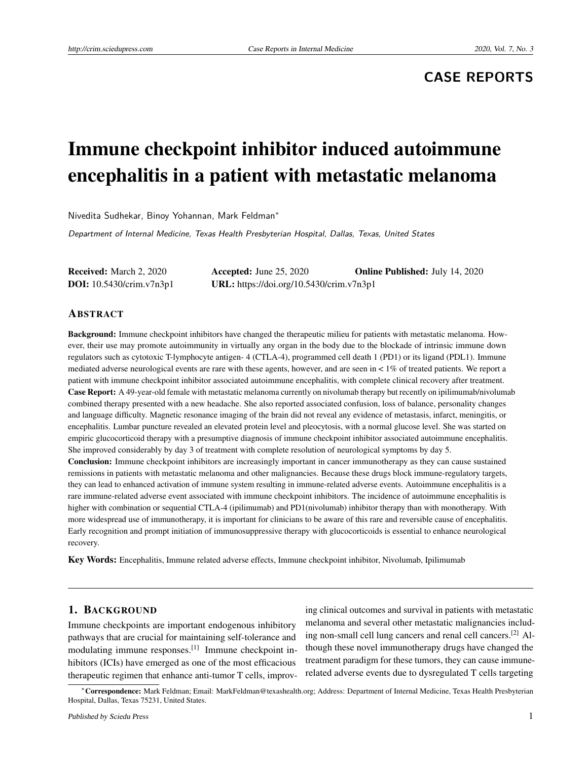# **CASE REPORTS**

# Immune checkpoint inhibitor induced autoimmune encephalitis in a patient with metastatic melanoma

Nivedita Sudhekar, Binoy Yohannan, Mark Feldman<sup>∗</sup>

Department of Internal Medicine, Texas Health Presbyterian Hospital, Dallas, Texas, United States

Received: March 2, 2020 Accepted: June 25, 2020 Online Published: July 14, 2020 DOI: 10.5430/crim.v7n3p1 URL: https://doi.org/10.5430/crim.v7n3p1

#### ABSTRACT

Background: Immune checkpoint inhibitors have changed the therapeutic milieu for patients with metastatic melanoma. However, their use may promote autoimmunity in virtually any organ in the body due to the blockade of intrinsic immune down regulators such as cytotoxic T-lymphocyte antigen- 4 (CTLA-4), programmed cell death 1 (PD1) or its ligand (PDL1). Immune mediated adverse neurological events are rare with these agents, however, and are seen in < 1% of treated patients. We report a patient with immune checkpoint inhibitor associated autoimmune encephalitis, with complete clinical recovery after treatment. Case Report: A 49-year-old female with metastatic melanoma currently on nivolumab therapy but recently on ipilimumab/nivolumab combined therapy presented with a new headache. She also reported associated confusion, loss of balance, personality changes and language difficulty. Magnetic resonance imaging of the brain did not reveal any evidence of metastasis, infarct, meningitis, or encephalitis. Lumbar puncture revealed an elevated protein level and pleocytosis, with a normal glucose level. She was started on empiric glucocorticoid therapy with a presumptive diagnosis of immune checkpoint inhibitor associated autoimmune encephalitis. She improved considerably by day 3 of treatment with complete resolution of neurological symptoms by day 5.

Conclusion: Immune checkpoint inhibitors are increasingly important in cancer immunotherapy as they can cause sustained remissions in patients with metastatic melanoma and other malignancies. Because these drugs block immune-regulatory targets, they can lead to enhanced activation of immune system resulting in immune-related adverse events. Autoimmune encephalitis is a rare immune-related adverse event associated with immune checkpoint inhibitors. The incidence of autoimmune encephalitis is higher with combination or sequential CTLA-4 (ipilimumab) and PD1(nivolumab) inhibitor therapy than with monotherapy. With more widespread use of immunotherapy, it is important for clinicians to be aware of this rare and reversible cause of encephalitis. Early recognition and prompt initiation of immunosuppressive therapy with glucocorticoids is essential to enhance neurological recovery.

Key Words: Encephalitis, Immune related adverse effects, Immune checkpoint inhibitor, Nivolumab, Ipilimumab

#### 1. BACKGROUND

Immune checkpoints are important endogenous inhibitory pathways that are crucial for maintaining self-tolerance and modulating immune responses.[\[1\]](#page-3-0) Immune checkpoint inhibitors (ICIs) have emerged as one of the most efficacious therapeutic regimen that enhance anti-tumor T cells, improv-

ing clinical outcomes and survival in patients with metastatic melanoma and several other metastatic malignancies including non-small cell lung cancers and renal cell cancers.[\[2\]](#page-3-1) Although these novel immunotherapy drugs have changed the treatment paradigm for these tumors, they can cause immunerelated adverse events due to dysregulated T cells targeting

<sup>∗</sup>Correspondence: Mark Feldman; Email: MarkFeldman@texashealth.org; Address: Department of Internal Medicine, Texas Health Presbyterian Hospital, Dallas, Texas 75231, United States.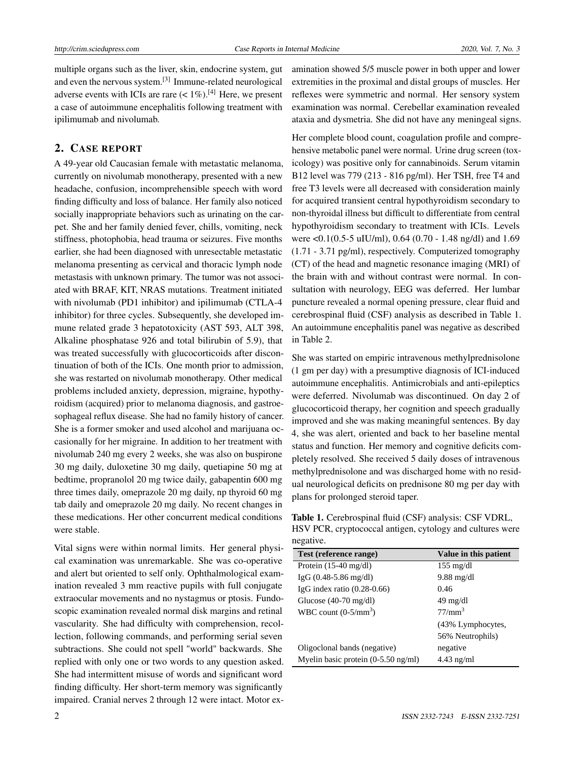multiple organs such as the liver, skin, endocrine system, gut and even the nervous system.<sup>[\[3\]](#page-3-2)</sup> Immune-related neurological adverse events with ICIs are rare  $(< 1\%)$ .<sup>[\[4\]](#page-3-3)</sup> Here, we present a case of autoimmune encephalitis following treatment with ipilimumab and nivolumab.

### 2. CASE REPORT

A 49-year old Caucasian female with metastatic melanoma, currently on nivolumab monotherapy, presented with a new headache, confusion, incomprehensible speech with word finding difficulty and loss of balance. Her family also noticed socially inappropriate behaviors such as urinating on the carpet. She and her family denied fever, chills, vomiting, neck stiffness, photophobia, head trauma or seizures. Five months earlier, she had been diagnosed with unresectable metastatic melanoma presenting as cervical and thoracic lymph node metastasis with unknown primary. The tumor was not associated with BRAF, KIT, NRAS mutations. Treatment initiated with nivolumab (PD1 inhibitor) and ipilimumab (CTLA-4 inhibitor) for three cycles. Subsequently, she developed immune related grade 3 hepatotoxicity (AST 593, ALT 398, Alkaline phosphatase 926 and total bilirubin of 5.9), that was treated successfully with glucocorticoids after discontinuation of both of the ICIs. One month prior to admission, she was restarted on nivolumab monotherapy. Other medical problems included anxiety, depression, migraine, hypothyroidism (acquired) prior to melanoma diagnosis, and gastroesophageal reflux disease. She had no family history of cancer. She is a former smoker and used alcohol and marijuana occasionally for her migraine. In addition to her treatment with nivolumab 240 mg every 2 weeks, she was also on buspirone 30 mg daily, duloxetine 30 mg daily, quetiapine 50 mg at bedtime, propranolol 20 mg twice daily, gabapentin 600 mg three times daily, omeprazole 20 mg daily, np thyroid 60 mg tab daily and omeprazole 20 mg daily. No recent changes in these medications. Her other concurrent medical conditions were stable.

Vital signs were within normal limits. Her general physical examination was unremarkable. She was co-operative and alert but oriented to self only. Ophthalmological examination revealed 3 mm reactive pupils with full conjugate extraocular movements and no nystagmus or ptosis. Fundoscopic examination revealed normal disk margins and retinal vascularity. She had difficulty with comprehension, recollection, following commands, and performing serial seven subtractions. She could not spell "world" backwards. She replied with only one or two words to any question asked. She had intermittent misuse of words and significant word finding difficulty. Her short-term memory was significantly impaired. Cranial nerves 2 through 12 were intact. Motor examination showed 5/5 muscle power in both upper and lower extremities in the proximal and distal groups of muscles. Her reflexes were symmetric and normal. Her sensory system examination was normal. Cerebellar examination revealed ataxia and dysmetria. She did not have any meningeal signs.

Her complete blood count, coagulation profile and comprehensive metabolic panel were normal. Urine drug screen (toxicology) was positive only for cannabinoids. Serum vitamin B12 level was 779 (213 - 816 pg/ml). Her TSH, free T4 and free T3 levels were all decreased with consideration mainly for acquired transient central hypothyroidism secondary to non-thyroidal illness but difficult to differentiate from central hypothyroidism secondary to treatment with ICIs. Levels were <0.1(0.5-5 uIU/ml), 0.64 (0.70 - 1.48 ng/dl) and 1.69 (1.71 - 3.71 pg/ml), respectively. Computerized tomography (CT) of the head and magnetic resonance imaging (MRI) of the brain with and without contrast were normal. In consultation with neurology, EEG was deferred. Her lumbar puncture revealed a normal opening pressure, clear fluid and cerebrospinal fluid (CSF) analysis as described in Table 1. An autoimmune encephalitis panel was negative as described in Table 2.

She was started on empiric intravenous methylprednisolone (1 gm per day) with a presumptive diagnosis of ICI-induced autoimmune encephalitis. Antimicrobials and anti-epileptics were deferred. Nivolumab was discontinued. On day 2 of glucocorticoid therapy, her cognition and speech gradually improved and she was making meaningful sentences. By day 4, she was alert, oriented and back to her baseline mental status and function. Her memory and cognitive deficits completely resolved. She received 5 daily doses of intravenous methylprednisolone and was discharged home with no residual neurological deficits on prednisone 80 mg per day with plans for prolonged steroid taper.

Table 1. Cerebrospinal fluid (CSF) analysis: CSF VDRL, HSV PCR, cryptococcal antigen, cytology and cultures were negative.

| Test (reference range)                        | Value in this patient |  |
|-----------------------------------------------|-----------------------|--|
| Protein $(15-40 \text{ mg/dl})$               | $155 \text{ mg/dl}$   |  |
| $IgG (0.48-5.86 mg/dl)$                       | $9.88 \text{ mg/dl}$  |  |
| IgG index ratio $(0.28-0.66)$                 | 0.46                  |  |
| Glucose $(40-70 \text{ mg/dl})$               | $49 \text{ mg/dl}$    |  |
| WBC count $(0-5/\text{mm}^3)$                 | 77/mm <sup>3</sup>    |  |
|                                               | (43% Lymphocytes,     |  |
|                                               | 56% Neutrophils)      |  |
| Oligoclonal bands (negative)                  | negative              |  |
| Myelin basic protein $(0-5.50 \text{ ng/ml})$ | $4.43$ ng/ml          |  |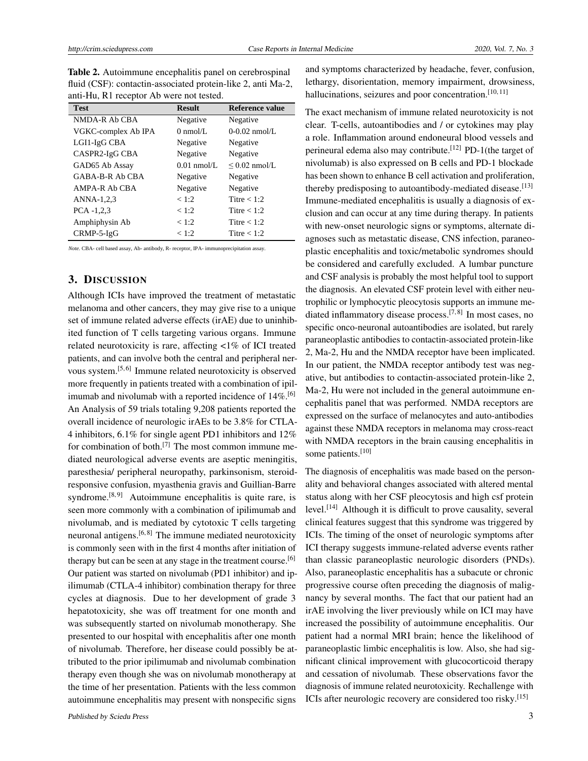Table 2. Autoimmune encephalitis panel on cerebrospinal fluid (CSF): contactin-associated protein-like 2, anti Ma-2, anti-Hu, R1 receptor Ab were not tested.

| <b>Test</b>         | <b>Result</b>      | <b>Reference value</b> |
|---------------------|--------------------|------------------------|
| NMDA-R Ab CBA       | Negative           | Negative               |
| VGKC-complex Ab IPA | $0 \text{ nmol/L}$ | $0-0.02$ nmol/L.       |
| LGI1-IgG CBA        | Negative           | Negative               |
| CASPR2-IgG CBA      | Negative           | Negative               |
| GAD65 Ab Assay      | $0.01$ nmol/L.     | $\leq$ 0.02 nmol/L     |
| GABA-B-R Ab CBA     | Negative           | Negative               |
| AMPA-R Ab CBA       | Negative           | Negative               |
| ANNA-1,2,3          | < 1:2              | Titre $< 1:2$          |
| $PCA -1,2,3$        | < 1:2              | Titre $< 1:2$          |
| Amphiphysin Ab      | < 1:2              | Titre $< 1:2$          |
| $CRMP-5-IgG$        | < 1:2              | Titre $< 1:2$          |

*Note.* CBA- cell based assay, Ab- antibody, R- receptor, IPA- immunoprecipitation assay.

# 3. DISCUSSION

Although ICIs have improved the treatment of metastatic melanoma and other cancers, they may give rise to a unique set of immune related adverse effects (irAE) due to uninhibited function of T cells targeting various organs. Immune related neurotoxicity is rare, affecting <1% of ICI treated patients, and can involve both the central and peripheral ner-vous system.<sup>[\[5,](#page-3-4)[6\]](#page-3-5)</sup> Immune related neurotoxicity is observed more frequently in patients treated with a combination of ipilimumab and nivolumab with a reported incidence of  $14\%$ .<sup>[\[6\]](#page-3-5)</sup> An Analysis of 59 trials totaling 9,208 patients reported the overall incidence of neurologic irAEs to be 3.8% for CTLA-4 inhibitors, 6.1% for single agent PD1 inhibitors and 12% for combination of both.<sup>[\[7\]](#page-3-6)</sup> The most common immune mediated neurological adverse events are aseptic meningitis, paresthesia/ peripheral neuropathy, parkinsonism, steroidresponsive confusion, myasthenia gravis and Guillian-Barre syndrome.<sup>[\[8,](#page-3-7)[9\]](#page-3-8)</sup> Autoimmune encephalitis is quite rare, is seen more commonly with a combination of ipilimumab and nivolumab, and is mediated by cytotoxic T cells targeting neuronal antigens.[\[6,](#page-3-5) [8\]](#page-3-7) The immune mediated neurotoxicity is commonly seen with in the first 4 months after initiation of therapy but can be seen at any stage in the treatment course.<sup>[\[6\]](#page-3-5)</sup> Our patient was started on nivolumab (PD1 inhibitor) and ipilimumab (CTLA-4 inhibitor) combination therapy for three cycles at diagnosis. Due to her development of grade 3 hepatotoxicity, she was off treatment for one month and was subsequently started on nivolumab monotherapy. She presented to our hospital with encephalitis after one month of nivolumab. Therefore, her disease could possibly be attributed to the prior ipilimumab and nivolumab combination therapy even though she was on nivolumab monotherapy at the time of her presentation. Patients with the less common autoimmune encephalitis may present with nonspecific signs

and symptoms characterized by headache, fever, confusion, lethargy, disorientation, memory impairment, drowsiness, hallucinations, seizures and poor concentration. $[10, 11]$  $[10, 11]$  $[10, 11]$ 

The exact mechanism of immune related neurotoxicity is not clear. T-cells, autoantibodies and / or cytokines may play a role. Inflammation around endoneural blood vessels and perineural edema also may contribute.<sup>[\[12\]](#page-3-11)</sup> PD-1(the target of nivolumab) is also expressed on B cells and PD-1 blockade has been shown to enhance B cell activation and proliferation, thereby predisposing to autoantibody-mediated disease.<sup>[\[13\]](#page-3-12)</sup> Immune-mediated encephalitis is usually a diagnosis of exclusion and can occur at any time during therapy. In patients with new-onset neurologic signs or symptoms, alternate diagnoses such as metastatic disease, CNS infection, paraneoplastic encephalitis and toxic/metabolic syndromes should be considered and carefully excluded. A lumbar puncture and CSF analysis is probably the most helpful tool to support the diagnosis. An elevated CSF protein level with either neutrophilic or lymphocytic pleocytosis supports an immune me-diated inflammatory disease process.<sup>[\[7,](#page-3-6)[8\]](#page-3-7)</sup> In most cases, no specific onco-neuronal autoantibodies are isolated, but rarely paraneoplastic antibodies to contactin-associated protein-like 2, Ma-2, Hu and the NMDA receptor have been implicated. In our patient, the NMDA receptor antibody test was negative, but antibodies to contactin-associated protein-like 2, Ma-2, Hu were not included in the general autoimmune encephalitis panel that was performed. NMDA receptors are expressed on the surface of melanocytes and auto-antibodies against these NMDA receptors in melanoma may cross-react with NMDA receptors in the brain causing encephalitis in some patients.<sup>[\[10\]](#page-3-9)</sup>

The diagnosis of encephalitis was made based on the personality and behavioral changes associated with altered mental status along with her CSF pleocytosis and high csf protein level.[\[14\]](#page-3-13) Although it is difficult to prove causality, several clinical features suggest that this syndrome was triggered by ICIs. The timing of the onset of neurologic symptoms after ICI therapy suggests immune-related adverse events rather than classic paraneoplastic neurologic disorders (PNDs). Also, paraneoplastic encephalitis has a subacute or chronic progressive course often preceding the diagnosis of malignancy by several months. The fact that our patient had an irAE involving the liver previously while on ICI may have increased the possibility of autoimmune encephalitis. Our patient had a normal MRI brain; hence the likelihood of paraneoplastic limbic encephalitis is low. Also, she had significant clinical improvement with glucocorticoid therapy and cessation of nivolumab. These observations favor the diagnosis of immune related neurotoxicity. Rechallenge with ICIs after neurologic recovery are considered too risky.[\[15\]](#page-3-14)